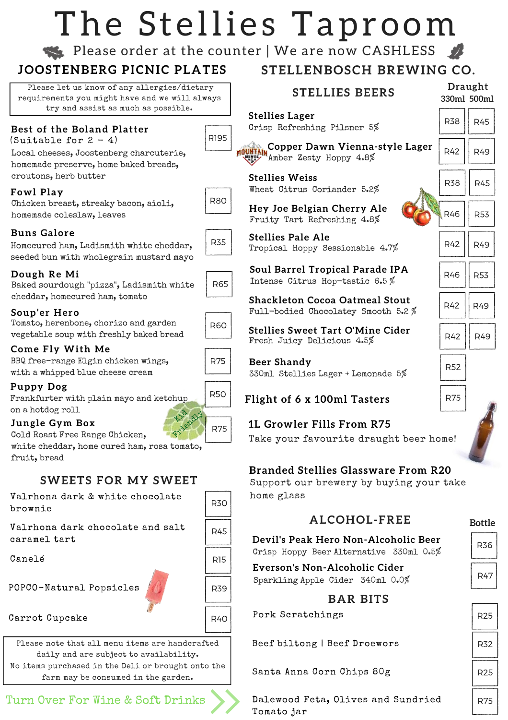# The Stellies Taproom

Please order at the counter | We are now CASHLESS

### **J O O S T E N B E R G P I C N I C P L A T E S**

Please let us know of any allergies/dietary requirements you might have and we will always try and assist as much as possible.

#### **Best of the Boland Platter**

(Suitable for  $2 - 4$ )

Local cheeses, Joostenberg charcuterie, homemade preserve, home baked breads, croutons, herb butter

#### **Fowl Play**

Chicken breast, streaky bacon, aioli, homemade coleslaw, leaves

#### **B u n s G a l o r e**

Homecured ham, Ladismith white cheddar, seeded bun with wholegrain mustard mayo

#### Dough Re Mi

Baked sourdough "pizza", Ladismith white cheddar, homecured ham, tomato

#### Soup'er Hero

Tomato, herenbone, chorizo and garden vegetable soup with freshly baked bread

#### **Come Fly With Me**

BBQ free-range Elgin chicken wings, with a whipped blue cheese cream

#### **P u p p y D o g**

Frankfurter with plain mayo and ketchup on a hotdog roll

#### **Jungle Gym Box**

Cold Roast Free Range Chicken,

white cheddar, home cured ham, rosa tomato, fruit, bread

#### **SWEETS FOR MY SWEET**

Valrhona dark & white chocolate brownie

Valrhona dark chocolate and salt caramel tart

Canelé

POPCO-Natural Popsicles

#### Carrot Cupcake

Please note that all menu items are handcrafted daily and are subject to availability. No items purchased in the Deli or brought onto the farm may be consumed in the garden.

### Turn Over For Wine & Soft Drinks Ralewood Feta, Olives and Sundried | R75

## **STELLENBOSCH BREWING CO.**

| ъ,<br>ays  | <b>STELLIES BEERS</b>                                                        |            | <b>Draught</b><br>330ml 500ml |  |  |
|------------|------------------------------------------------------------------------------|------------|-------------------------------|--|--|
|            | <b>Stellies Lager</b><br>Crisp Refreshing Pilsner 5%                         | <b>R38</b> | <b>R45</b>                    |  |  |
| R195       | Copper Dawn Vienna-style Lager<br>Amber Zesty Hoppy 4.8%                     | R42        | R49                           |  |  |
|            | <b>Stellies Weiss</b><br>Wheat Citrus Coriander 5.2%                         | <b>R38</b> | R45                           |  |  |
| <b>R80</b> | Hey Joe Belgian Cherry Ale<br>Fruity Tart Refreshing 4.8%                    | R46        | <b>R53</b>                    |  |  |
| <b>R35</b> | <b>Stellies Pale Ale</b><br>Tropical Hoppy Sessionable 4.7%                  | R42        | R49                           |  |  |
| <b>R65</b> | <b>Soul Barrel Tropical Parade IPA</b><br>Intense Citrus Hop-tastic 6.5%     | R46        | <b>R53</b>                    |  |  |
|            | <b>Shackleton Cocoa Oatmeal Stout</b><br>Full-bodied Chocolatey Smooth 5.2 % | R42        | R49                           |  |  |
| R60        | <b>Stellies Sweet Tart O'Mine Cider</b><br>Fresh Juicy Delicious 4.5%        | R42        | <b>R49</b>                    |  |  |
| R75        | Beer Shandy<br>330ml Stellies Lager + Lemonade 5%                            | <b>R52</b> |                               |  |  |
| <b>R50</b> | Flight of 6 x 100ml Tasters                                                  | <b>R75</b> |                               |  |  |
| <b>R75</b> | <b>1L Growler Fills From R75</b><br>Take your favourite draught beer home!   |            |                               |  |  |

#### **Branded Stellies Glassware From R20**

Support our brewery by buying your take home glass

#### **A L C O H O L - F R E E**

#### **Bottle**

R36 **Devil's Peak Hero Non-Alcoholic Beer** Crisp Hoppy Beer Alternative 330ml 0.5%

**Everson's Non-Alcoholic Cider** Sparkling Apple Cider 340ml 0.0%

#### **B A R B I T S**

Pork Scratchings

Beef biltong | Beef Droewors

Santa Anna Corn Chips 80g

Dalewood Feta, Olives and Sundried Tomato jar

| R47             |  |
|-----------------|--|
| R <sub>25</sub> |  |
| R32             |  |
|                 |  |

# R25

| R60 |  |
|-----|--|









R30

R45

R15

R39

R40